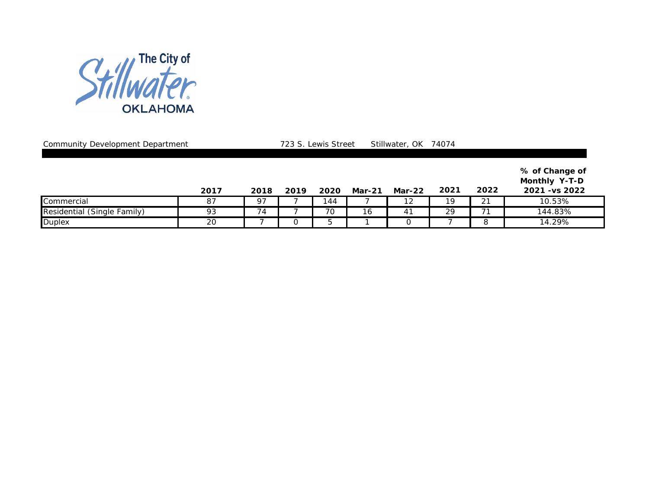

Community Development Department 2008 723 S. Lewis Street Stillwater, OK 74074

|                             | 2017 | 2018 | 2019 | 2020 | <b>Mar-21</b> | Mar-22 | 2021 | 2022 | % of Change of<br><b>Monthly Y-T-D</b><br>2021 - vs 2022 |
|-----------------------------|------|------|------|------|---------------|--------|------|------|----------------------------------------------------------|
| Commercial                  | 87   | 97   |      | 144  |               | 12     | 19   | 21   | 10.53%                                                   |
| Residential (Single Family) | 93   | 74   |      | 70   | 16            | 4      | 29   |      | 144.83%                                                  |
| <b>Duplex</b>               | 20   |      |      |      |               |        |      |      | 14.29%                                                   |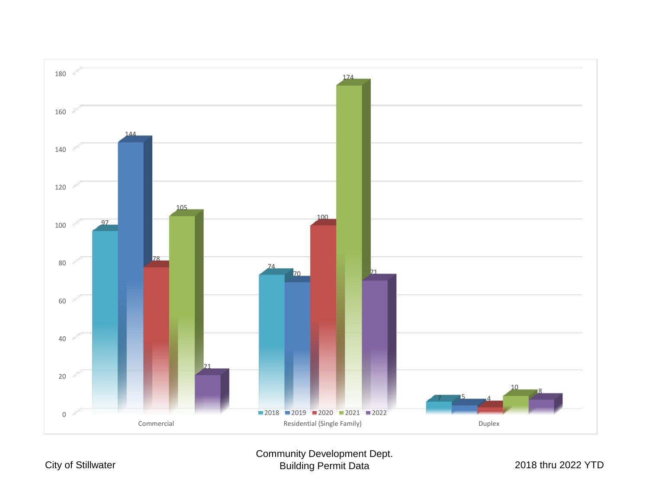

Community Development Dept. Building Permit Data 2018 thru 2022 YTD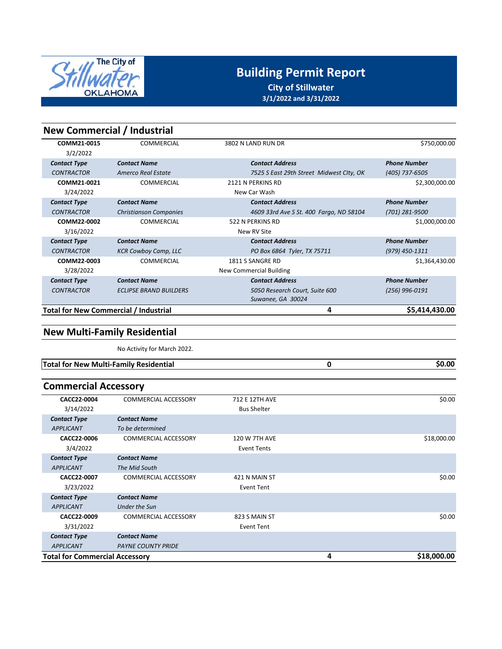

**City of Stillwater 3/1/2022 and 3/31/2022**

**0**

| <b>New Commercial / Industrial</b>    |                               |                                          |                     |
|---------------------------------------|-------------------------------|------------------------------------------|---------------------|
| COMM21-0015<br>3/2/2022               | <b>COMMERCIAL</b>             | 3802 N LAND RUN DR                       | \$750,000.00        |
| <b>Contact Type</b>                   | <b>Contact Name</b>           | <b>Contact Address</b>                   | <b>Phone Number</b> |
| <b>CONTRACTOR</b>                     | Amerco Real Estate            | 7525 S East 29th Street Midwest Clty, OK | (405) 737-6505      |
| COMM21-0021<br>3/24/2022              | <b>COMMERCIAL</b>             | 2121 N PERKINS RD<br>New Car Wash        | \$2,300,000.00      |
| <b>Contact Type</b>                   | <b>Contact Name</b>           | <b>Contact Address</b>                   | <b>Phone Number</b> |
| <b>CONTRACTOR</b>                     | <b>Christianson Companies</b> | 4609 33rd Ave S St. 400 Fargo, ND 58104  | (701) 281-9500      |
| COMM22-0002                           | COMMERCIAL                    | 522 N PERKINS RD                         | \$1,000,000.00      |
| 3/16/2022                             |                               | New RV Site                              |                     |
| <b>Contact Type</b>                   | <b>Contact Name</b>           | <b>Contact Address</b>                   | <b>Phone Number</b> |
| <b>CONTRACTOR</b>                     | <b>KCR Cowboy Camp, LLC</b>   | PO Box 6864 Tyler, TX 75711              | (979) 450-1311      |
| COMM22-0003                           | COMMERCIAL                    | 1811 S SANGRE RD                         | \$1,364,430.00      |
| 3/28/2022                             |                               | <b>New Commercial Building</b>           |                     |
| <b>Contact Type</b>                   | <b>Contact Name</b>           | <b>Contact Address</b>                   | <b>Phone Number</b> |
| <b>CONTRACTOR</b>                     | <b>ECLIPSE BRAND BUILDERS</b> | 5050 Research Court, Suite 600           | (256) 996-0191      |
|                                       |                               | Suwanee, GA 30024                        |                     |
| Total for New Commercial / Industrial |                               | 4                                        | \$5,414,430.00      |

### **New Multi‐Family Residential**

No Activity for March 2022.

**Total for New Multi-Family Residential by the contract of the contract of the contract of the contract of the contract of the contract of the contract of the contract of the contract of the contract of the contract of t** 

### **Commercial Accessory**

| CACC22-0004                           | COMMERCIAL ACCESSORY        | 712 E 12TH AVE       |   | \$0.00      |
|---------------------------------------|-----------------------------|----------------------|---|-------------|
| 3/14/2022                             |                             | <b>Bus Shelter</b>   |   |             |
| <b>Contact Type</b>                   | <b>Contact Name</b>         |                      |   |             |
| <b>APPLICANT</b>                      | To be determined            |                      |   |             |
| CACC22-0006                           | COMMERCIAL ACCESSORY        | <b>120 W 7TH AVE</b> |   | \$18,000.00 |
| 3/4/2022                              |                             | <b>Event Tents</b>   |   |             |
| <b>Contact Type</b>                   | <b>Contact Name</b>         |                      |   |             |
| <b>APPLICANT</b>                      | The Mid South               |                      |   |             |
| CACC22-0007                           | <b>COMMERCIAL ACCESSORY</b> | 421 N MAIN ST        |   | \$0.00      |
| 3/23/2022                             |                             | Event Tent           |   |             |
| <b>Contact Type</b>                   | <b>Contact Name</b>         |                      |   |             |
| <b>APPLICANT</b>                      | Under the Sun               |                      |   |             |
| CACC22-0009                           | COMMERCIAL ACCESSORY        | 823 S MAIN ST        |   | \$0.00      |
| 3/31/2022                             |                             | Event Tent           |   |             |
| <b>Contact Type</b>                   | <b>Contact Name</b>         |                      |   |             |
| <b>APPLICANT</b>                      | <b>PAYNE COUNTY PRIDE</b>   |                      |   |             |
| <b>Total for Commercial Accessory</b> |                             |                      | 4 | \$18,000.00 |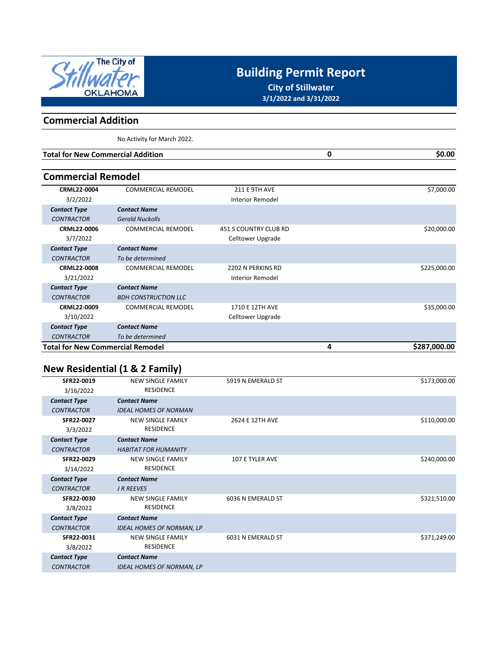

**City of Stillwater 3/1/2022 and 3/31/2022**

### **Commercial Addition**

No Activity for March 2022.

| <b>Total for New Commercial Addition</b> | \$0.00 |
|------------------------------------------|--------|
|                                          |        |
| <b>Commercial Remodel</b>                |        |

| \$7,000.00   |   | <b>211 E 9TH AVE</b>         | <b>COMMERCIAL REMODEL</b>   | <b>CRML22-0004</b>                      |
|--------------|---|------------------------------|-----------------------------|-----------------------------------------|
|              |   | Interior Remodel             |                             | 3/2/2022                                |
|              |   |                              | <b>Contact Name</b>         | <b>Contact Type</b>                     |
|              |   |                              | <b>Gerald Nuckolls</b>      | <b>CONTRACTOR</b>                       |
| \$20,000.00  |   | <b>451 S COUNTRY CLUB RD</b> | <b>COMMERCIAL REMODEL</b>   | <b>CRML22-0006</b>                      |
|              |   | Celltower Upgrade            |                             | 3/7/2022                                |
|              |   |                              | <b>Contact Name</b>         | <b>Contact Type</b>                     |
|              |   |                              | To be determined            | <b>CONTRACTOR</b>                       |
| \$225,000.00 |   | 2202 N PERKINS RD            | <b>COMMERCIAL REMODEL</b>   | <b>CRML22-0008</b>                      |
|              |   | <b>Interior Remodel</b>      |                             | 3/21/2022                               |
|              |   |                              | <b>Contact Name</b>         | <b>Contact Type</b>                     |
|              |   |                              | <b>BDH CONSTRUCTION LLC</b> | <b>CONTRACTOR</b>                       |
| \$35,000.00  |   | 1710 E 12TH AVE              | <b>COMMERCIAL REMODEL</b>   | CRML22-0009                             |
|              |   | Celltower Upgrade            |                             | 3/10/2022                               |
|              |   |                              | <b>Contact Name</b>         | <b>Contact Type</b>                     |
|              |   |                              | To be determined            | <b>CONTRACTOR</b>                       |
| \$287,000.00 | 4 |                              |                             | <b>Total for New Commercial Remodel</b> |

## **New Residential (1 & 2 Family)**

| SFR22-0019          | <b>NEW SINGLE FAMILY</b>         | 5919 N EMERALD ST      | \$173,000.00 |
|---------------------|----------------------------------|------------------------|--------------|
|                     |                                  |                        |              |
| 3/16/2022           | <b>RESIDENCE</b>                 |                        |              |
| <b>Contact Type</b> | <b>Contact Name</b>              |                        |              |
| <b>CONTRACTOR</b>   | <b>IDEAL HOMES OF NORMAN</b>     |                        |              |
| SFR22-0027          | <b>NEW SINGLE FAMILY</b>         | 2624 E 12TH AVE        | \$110,000.00 |
| 3/3/2022            | <b>RESIDENCE</b>                 |                        |              |
| <b>Contact Type</b> | <b>Contact Name</b>              |                        |              |
| <b>CONTRACTOR</b>   | <b>HABITAT FOR HUMANITY</b>      |                        |              |
| SFR22-0029          | <b>NEW SINGLE FAMILY</b>         | <b>107 E TYLER AVE</b> | \$240,000.00 |
| 3/14/2022           | <b>RESIDENCE</b>                 |                        |              |
| <b>Contact Type</b> | <b>Contact Name</b>              |                        |              |
| <b>CONTRACTOR</b>   | <b>J R REEVES</b>                |                        |              |
| SFR22-0030          | <b>NEW SINGLE FAMILY</b>         | 6036 N EMERALD ST      | \$321,510.00 |
| 3/8/2022            | <b>RESIDENCE</b>                 |                        |              |
| <b>Contact Type</b> | <b>Contact Name</b>              |                        |              |
| <b>CONTRACTOR</b>   | <b>IDEAL HOMES OF NORMAN, LP</b> |                        |              |
| SFR22-0031          | <b>NEW SINGLE FAMILY</b>         | 6031 N EMERALD ST      | \$371,249.00 |
| 3/8/2022            | <b>RESIDENCE</b>                 |                        |              |
| <b>Contact Type</b> | <b>Contact Name</b>              |                        |              |
| <b>CONTRACTOR</b>   | <b>IDEAL HOMES OF NORMAN, LP</b> |                        |              |
|                     |                                  |                        |              |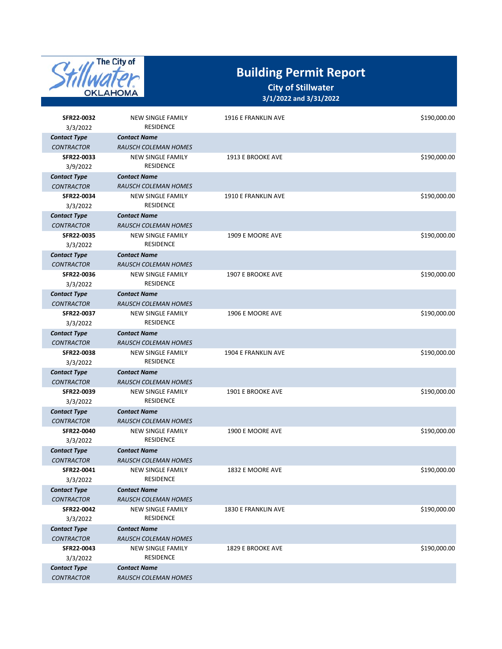

| SFR22-0032<br>3/3/2022 | <b>NEW SINGLE FAMILY</b><br><b>RESIDENCE</b> | 1916 E FRANKLIN AVE | \$190,000.00 |
|------------------------|----------------------------------------------|---------------------|--------------|
| <b>Contact Type</b>    | <b>Contact Name</b>                          |                     |              |
| <b>CONTRACTOR</b>      | <b>RAUSCH COLEMAN HOMES</b>                  |                     |              |
| SFR22-0033<br>3/9/2022 | <b>NEW SINGLE FAMILY</b><br><b>RESIDENCE</b> | 1913 E BROOKE AVE   | \$190,000.00 |
| <b>Contact Type</b>    | <b>Contact Name</b>                          |                     |              |
| <b>CONTRACTOR</b>      | <b>RAUSCH COLEMAN HOMES</b>                  |                     |              |
| SFR22-0034<br>3/3/2022 | <b>NEW SINGLE FAMILY</b><br><b>RESIDENCE</b> | 1910 E FRANKLIN AVE | \$190,000.00 |
| <b>Contact Type</b>    | <b>Contact Name</b>                          |                     |              |
| <b>CONTRACTOR</b>      | <b>RAUSCH COLEMAN HOMES</b>                  |                     |              |
| SFR22-0035<br>3/3/2022 | <b>NEW SINGLE FAMILY</b><br><b>RESIDENCE</b> | 1909 E MOORE AVE    | \$190,000.00 |
| <b>Contact Type</b>    | <b>Contact Name</b>                          |                     |              |
| <b>CONTRACTOR</b>      | <b>RAUSCH COLEMAN HOMES</b>                  |                     |              |
| SFR22-0036<br>3/3/2022 | <b>NEW SINGLE FAMILY</b><br><b>RESIDENCE</b> | 1907 E BROOKE AVE   | \$190,000.00 |
| <b>Contact Type</b>    | <b>Contact Name</b>                          |                     |              |
| <b>CONTRACTOR</b>      | <b>RAUSCH COLEMAN HOMES</b>                  |                     |              |
| SFR22-0037<br>3/3/2022 | <b>NEW SINGLE FAMILY</b><br><b>RESIDENCE</b> | 1906 E MOORE AVE    | \$190,000.00 |
| <b>Contact Type</b>    | <b>Contact Name</b>                          |                     |              |
| <b>CONTRACTOR</b>      | <b>RAUSCH COLEMAN HOMES</b>                  |                     |              |
| SFR22-0038<br>3/3/2022 | <b>NEW SINGLE FAMILY</b><br><b>RESIDENCE</b> | 1904 E FRANKLIN AVE | \$190,000.00 |
| <b>Contact Type</b>    | <b>Contact Name</b>                          |                     |              |
| <b>CONTRACTOR</b>      | <b>RAUSCH COLEMAN HOMES</b>                  |                     |              |
| SFR22-0039<br>3/3/2022 | <b>NEW SINGLE FAMILY</b><br><b>RESIDENCE</b> | 1901 E BROOKE AVE   | \$190,000.00 |
| <b>Contact Type</b>    | <b>Contact Name</b>                          |                     |              |
| <b>CONTRACTOR</b>      | <b>RAUSCH COLEMAN HOMES</b>                  |                     |              |
| SFR22-0040<br>3/3/2022 | <b>NEW SINGLE FAMILY</b><br><b>RESIDENCE</b> | 1900 E MOORE AVE    | \$190,000.00 |
| <b>Contact Type</b>    | <b>Contact Name</b>                          |                     |              |
| <b>CONTRACTOR</b>      | <b>RAUSCH COLEMAN HOMES</b>                  |                     |              |
| SFR22-0041<br>3/3/2022 | <b>NEW SINGLE FAMILY</b><br>RESIDENCE        | 1832 E MOORE AVE    | \$190,000.00 |
| <b>Contact Type</b>    | <b>Contact Name</b>                          |                     |              |
| <b>CONTRACTOR</b>      | <b>RAUSCH COLEMAN HOMES</b>                  |                     |              |
| SFR22-0042<br>3/3/2022 | <b>NEW SINGLE FAMILY</b><br>RESIDENCE        | 1830 E FRANKLIN AVE | \$190,000.00 |
| <b>Contact Type</b>    | <b>Contact Name</b>                          |                     |              |
| <b>CONTRACTOR</b>      | <b>RAUSCH COLEMAN HOMES</b>                  |                     |              |
| SFR22-0043<br>3/3/2022 | <b>NEW SINGLE FAMILY</b><br><b>RESIDENCE</b> | 1829 E BROOKE AVE   | \$190,000.00 |
| <b>Contact Type</b>    | <b>Contact Name</b>                          |                     |              |
| <b>CONTRACTOR</b>      | <b>RAUSCH COLEMAN HOMES</b>                  |                     |              |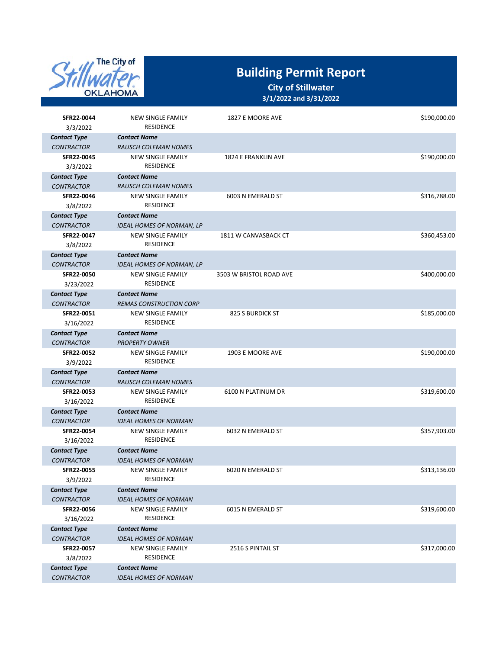

| SFR22-0044                               | <b>NEW SINGLE FAMILY</b><br><b>RESIDENCE</b>             | 1827 E MOORE AVE        | \$190,000.00 |
|------------------------------------------|----------------------------------------------------------|-------------------------|--------------|
| 3/3/2022<br><b>Contact Type</b>          | <b>Contact Name</b>                                      |                         |              |
| <b>CONTRACTOR</b>                        | <b>RAUSCH COLEMAN HOMES</b>                              |                         |              |
| SFR22-0045                               | <b>NEW SINGLE FAMILY</b>                                 | 1824 E FRANKLIN AVE     | \$190,000.00 |
| 3/3/2022                                 | <b>RESIDENCE</b>                                         |                         |              |
| <b>Contact Type</b>                      | <b>Contact Name</b>                                      |                         |              |
| <b>CONTRACTOR</b>                        | <b>RAUSCH COLEMAN HOMES</b>                              |                         |              |
| SFR22-0046                               | <b>NEW SINGLE FAMILY</b>                                 | 6003 N EMERALD ST       | \$316,788.00 |
| 3/8/2022                                 | <b>RESIDENCE</b>                                         |                         |              |
| <b>Contact Type</b>                      | <b>Contact Name</b>                                      |                         |              |
| <b>CONTRACTOR</b>                        | <b>IDEAL HOMES OF NORMAN, LP</b>                         |                         |              |
| SFR22-0047                               | <b>NEW SINGLE FAMILY</b>                                 | 1811 W CANVASBACK CT    | \$360,453.00 |
| 3/8/2022                                 | <b>RESIDENCE</b>                                         |                         |              |
| <b>Contact Type</b>                      | <b>Contact Name</b>                                      |                         |              |
| <b>CONTRACTOR</b>                        | <b>IDEAL HOMES OF NORMAN, LP</b>                         |                         |              |
| SFR22-0050                               | <b>NEW SINGLE FAMILY</b><br><b>RESIDENCE</b>             | 3503 W BRISTOL ROAD AVE | \$400,000.00 |
| 3/23/2022                                |                                                          |                         |              |
| <b>Contact Type</b><br><b>CONTRACTOR</b> | <b>Contact Name</b><br><b>REMAS CONSTRUCTION CORP</b>    |                         |              |
| SFR22-0051                               | <b>NEW SINGLE FAMILY</b>                                 | 825 S BURDICK ST        | \$185,000.00 |
| 3/16/2022                                | <b>RESIDENCE</b>                                         |                         |              |
| <b>Contact Type</b>                      | <b>Contact Name</b>                                      |                         |              |
| <b>CONTRACTOR</b>                        | <b>PROPERTY OWNER</b>                                    |                         |              |
| SFR22-0052                               | <b>NEW SINGLE FAMILY</b>                                 | 1903 E MOORE AVE        | \$190,000.00 |
| 3/9/2022                                 | <b>RESIDENCE</b>                                         |                         |              |
| <b>Contact Type</b>                      | <b>Contact Name</b>                                      |                         |              |
| <b>CONTRACTOR</b>                        | <b>RAUSCH COLEMAN HOMES</b>                              |                         |              |
| SFR22-0053                               | <b>NEW SINGLE FAMILY</b>                                 | 6100 N PLATINUM DR      | \$319,600.00 |
| 3/16/2022                                | RESIDENCE                                                |                         |              |
| <b>Contact Type</b>                      | <b>Contact Name</b>                                      |                         |              |
| <b>CONTRACTOR</b>                        | <b>IDEAL HOMES OF NORMAN</b>                             |                         |              |
| SFR22-0054                               | <b>NEW SINGLE FAMILY</b>                                 | 6032 N EMERALD ST       | \$357,903.00 |
| 3/16/2022                                | RESIDENCE                                                |                         |              |
| <b>Contact Type</b><br><b>CONTRACTOR</b> | <b>Contact Name</b>                                      |                         |              |
| SFR22-0055                               | <b>IDEAL HOMES OF NORMAN</b><br><b>NEW SINGLE FAMILY</b> | 6020 N EMERALD ST       | \$313,136.00 |
| 3/9/2022                                 | <b>RESIDENCE</b>                                         |                         |              |
| <b>Contact Type</b>                      | <b>Contact Name</b>                                      |                         |              |
| <b>CONTRACTOR</b>                        | <b>IDEAL HOMES OF NORMAN</b>                             |                         |              |
| SFR22-0056                               | NEW SINGLE FAMILY                                        | 6015 N EMERALD ST       | \$319,600.00 |
| 3/16/2022                                | <b>RESIDENCE</b>                                         |                         |              |
| <b>Contact Type</b>                      | <b>Contact Name</b>                                      |                         |              |
| <b>CONTRACTOR</b>                        | <b>IDEAL HOMES OF NORMAN</b>                             |                         |              |
| SFR22-0057                               | NEW SINGLE FAMILY                                        | 2516 S PINTAIL ST       | \$317,000.00 |
| 3/8/2022                                 | <b>RESIDENCE</b>                                         |                         |              |
| <b>Contact Type</b>                      | <b>Contact Name</b>                                      |                         |              |
| <b>CONTRACTOR</b>                        | <b>IDEAL HOMES OF NORMAN</b>                             |                         |              |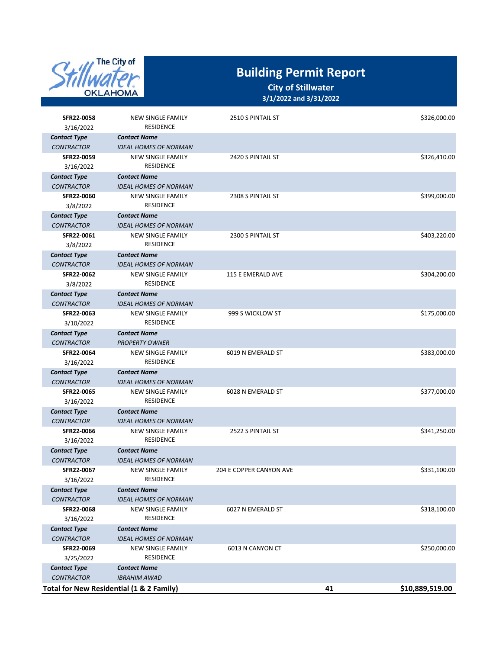

| SFR22-0058<br>3/16/2022                  | <b>NEW SINGLE FAMILY</b><br><b>RESIDENCE</b>        | 2510 S PINTAIL ST       |    | \$326,000.00    |
|------------------------------------------|-----------------------------------------------------|-------------------------|----|-----------------|
| <b>Contact Type</b>                      | <b>Contact Name</b>                                 |                         |    |                 |
| <b>CONTRACTOR</b>                        | <b>IDEAL HOMES OF NORMAN</b>                        |                         |    |                 |
| SFR22-0059<br>3/16/2022                  | <b>NEW SINGLE FAMILY</b><br><b>RESIDENCE</b>        | 2420 S PINTAIL ST       |    | \$326,410.00    |
| <b>Contact Type</b>                      | <b>Contact Name</b>                                 |                         |    |                 |
| <b>CONTRACTOR</b>                        | <b>IDEAL HOMES OF NORMAN</b>                        |                         |    |                 |
| SFR22-0060<br>3/8/2022                   | <b>NEW SINGLE FAMILY</b><br><b>RESIDENCE</b>        | 2308 S PINTAIL ST       |    | \$399,000.00    |
| <b>Contact Type</b>                      | <b>Contact Name</b>                                 |                         |    |                 |
| <b>CONTRACTOR</b>                        | <b>IDEAL HOMES OF NORMAN</b>                        |                         |    |                 |
| SFR22-0061<br>3/8/2022                   | <b>NEW SINGLE FAMILY</b><br><b>RESIDENCE</b>        | 2300 S PINTAIL ST       |    | \$403,220.00    |
| <b>Contact Type</b>                      | <b>Contact Name</b>                                 |                         |    |                 |
| <b>CONTRACTOR</b>                        | <b>IDEAL HOMES OF NORMAN</b>                        |                         |    |                 |
| SFR22-0062<br>3/8/2022                   | <b>NEW SINGLE FAMILY</b><br><b>RESIDENCE</b>        | 115 E EMERALD AVE       |    | \$304,200.00    |
| <b>Contact Type</b>                      | <b>Contact Name</b>                                 |                         |    |                 |
| <b>CONTRACTOR</b>                        | <b>IDEAL HOMES OF NORMAN</b>                        |                         |    |                 |
| SFR22-0063<br>3/10/2022                  | <b>NEW SINGLE FAMILY</b><br><b>RESIDENCE</b>        | 999 S WICKLOW ST        |    | \$175,000.00    |
| <b>Contact Type</b>                      | <b>Contact Name</b>                                 |                         |    |                 |
| <b>CONTRACTOR</b>                        | <b>PROPERTY OWNER</b>                               |                         |    |                 |
| SFR22-0064<br>3/16/2022                  | <b>NEW SINGLE FAMILY</b><br><b>RESIDENCE</b>        | 6019 N EMERALD ST       |    | \$383,000.00    |
| <b>Contact Type</b>                      | <b>Contact Name</b>                                 |                         |    |                 |
| <b>CONTRACTOR</b>                        | <b>IDEAL HOMES OF NORMAN</b>                        |                         |    |                 |
| SFR22-0065<br>3/16/2022                  | <b>NEW SINGLE FAMILY</b><br><b>RESIDENCE</b>        | 6028 N EMERALD ST       |    | \$377,000.00    |
| <b>Contact Type</b>                      | <b>Contact Name</b>                                 |                         |    |                 |
| <b>CONTRACTOR</b>                        | <b>IDEAL HOMES OF NORMAN</b>                        |                         |    |                 |
| SFR22-0066                               | <b>NEW SINGLE FAMILY</b>                            | 2522 S PINTAIL ST       |    | \$341,250.00    |
| 3/16/2022                                | <b>RESIDENCE</b>                                    |                         |    |                 |
| <b>Contact Type</b>                      | <b>Contact Name</b>                                 |                         |    |                 |
| <b>CONTRACTOR</b>                        | <b>IDEAL HOMES OF NORMAN</b>                        |                         |    |                 |
| SFR22-0067                               | <b>NEW SINGLE FAMILY</b>                            | 204 E COPPER CANYON AVE |    | \$331,100.00    |
| 3/16/2022                                | RESIDENCE                                           |                         |    |                 |
| <b>Contact Type</b>                      | Contact Name                                        |                         |    |                 |
| <b>CONTRACTOR</b>                        | <b>IDEAL HOMES OF NORMAN</b>                        |                         |    |                 |
| SFR22-0068<br>3/16/2022                  | NEW SINGLE FAMILY<br>RESIDENCE                      | 6027 N EMERALD ST       |    | \$318,100.00    |
|                                          |                                                     |                         |    |                 |
| <b>Contact Type</b><br><b>CONTRACTOR</b> | <b>Contact Name</b><br><b>IDEAL HOMES OF NORMAN</b> |                         |    |                 |
| SFR22-0069                               | <b>NEW SINGLE FAMILY</b>                            | 6013 N CANYON CT        |    | \$250,000.00    |
| 3/25/2022                                | RESIDENCE                                           |                         |    |                 |
| <b>Contact Type</b>                      | Contact Name                                        |                         |    |                 |
| <b>CONTRACTOR</b>                        | <b>IBRAHIM AWAD</b>                                 |                         |    |                 |
|                                          | Total for New Residential (1 & 2 Family)            |                         | 41 | \$10,889,519.00 |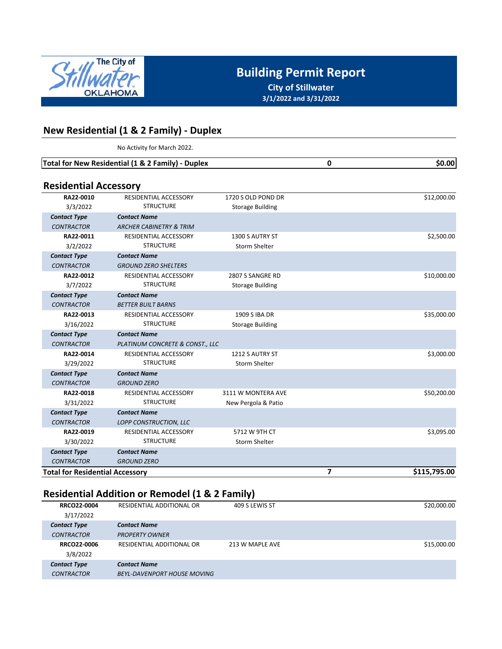

**City of Stillwater 3/1/2022 and 3/31/2022**

**0**

### **New Residential (1 & 2 Family) ‐ Duplex**

No Activity for March 2022.

**Total for New Residential (1 & 2 Family) - Duplex 60.00 60.00** 

### **Residential Accessory**

| ו וכאומרוונומו הנכנאאטו ו              |                                    |                         |                   |
|----------------------------------------|------------------------------------|-------------------------|-------------------|
| RA22-0010                              | <b>RESIDENTIAL ACCESSORY</b>       | 1720 S OLD POND DR      | \$12,000.00       |
| 3/3/2022                               | <b>STRUCTURE</b>                   | <b>Storage Building</b> |                   |
| <b>Contact Type</b>                    | <b>Contact Name</b>                |                         |                   |
| <b>CONTRACTOR</b>                      | <b>ARCHER CABINETRY &amp; TRIM</b> |                         |                   |
| RA22-0011                              | <b>RESIDENTIAL ACCESSORY</b>       | 1300 S AUTRY ST         | \$2,500.00        |
| 3/2/2022                               | <b>STRUCTURE</b>                   | <b>Storm Shelter</b>    |                   |
| <b>Contact Type</b>                    | <b>Contact Name</b>                |                         |                   |
| <b>CONTRACTOR</b>                      | <b>GROUND ZERO SHELTERS</b>        |                         |                   |
| RA22-0012                              | <b>RESIDENTIAL ACCESSORY</b>       | 2807 S SANGRE RD        | \$10,000.00       |
| 3/7/2022                               | <b>STRUCTURE</b>                   | <b>Storage Building</b> |                   |
| <b>Contact Type</b>                    | <b>Contact Name</b>                |                         |                   |
| <b>CONTRACTOR</b>                      | <b>BETTER BUILT BARNS</b>          |                         |                   |
| RA22-0013                              | <b>RESIDENTIAL ACCESSORY</b>       | 1909 S IBA DR           | \$35,000.00       |
| 3/16/2022                              | <b>STRUCTURE</b>                   | <b>Storage Building</b> |                   |
| <b>Contact Type</b>                    | <b>Contact Name</b>                |                         |                   |
| <b>CONTRACTOR</b>                      | PLATINUM CONCRETE & CONST., LLC    |                         |                   |
| RA22-0014                              | RESIDENTIAL ACCESSORY              | 1212 S AUTRY ST         | \$3,000.00        |
| 3/29/2022                              | <b>STRUCTURE</b>                   | <b>Storm Shelter</b>    |                   |
| <b>Contact Type</b>                    | <b>Contact Name</b>                |                         |                   |
| <b>CONTRACTOR</b>                      | <b>GROUND ZERO</b>                 |                         |                   |
| RA22-0018                              | RESIDENTIAL ACCESSORY              | 3111 W MONTERA AVE      | \$50,200.00       |
| 3/31/2022                              | <b>STRUCTURE</b>                   | New Pergola & Patio     |                   |
| <b>Contact Type</b>                    | <b>Contact Name</b>                |                         |                   |
| <b>CONTRACTOR</b>                      | LOPP CONSTRUCTION, LLC             |                         |                   |
| RA22-0019                              | <b>RESIDENTIAL ACCESSORY</b>       | 5712 W 9TH CT           | \$3,095.00        |
| 3/30/2022                              | <b>STRUCTURE</b>                   | <b>Storm Shelter</b>    |                   |
| <b>Contact Type</b>                    | <b>Contact Name</b>                |                         |                   |
| <b>CONTRACTOR</b>                      | <b>GROUND ZERO</b>                 |                         |                   |
| <b>Total for Residential Accessory</b> |                                    |                         | 7<br>\$115,795.00 |

## **Residential Addition or Remodel (1 & 2 Family)**

| <b>RRCO22-0004</b>  | RESIDENTIAL ADDITIONAL OR          | 409 S LEWIS ST  | \$20,000.00 |
|---------------------|------------------------------------|-----------------|-------------|
| 3/17/2022           |                                    |                 |             |
| <b>Contact Type</b> | <b>Contact Name</b>                |                 |             |
| <b>CONTRACTOR</b>   | <b>PROPERTY OWNER</b>              |                 |             |
| RRCO22-0006         | RESIDENTIAL ADDITIONAL OR          | 213 W MAPLE AVE | \$15,000.00 |
| 3/8/2022            |                                    |                 |             |
| <b>Contact Type</b> | <b>Contact Name</b>                |                 |             |
| <b>CONTRACTOR</b>   | <b>BEYL-DAVENPORT HOUSE MOVING</b> |                 |             |